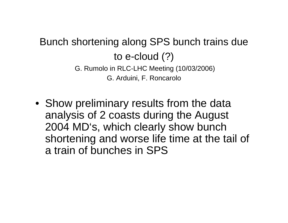## Bunch shortening along SPS bunch trains due to e-cloud (?) G. Rumolo in RLC-LHC Meeting (10/03/2006)

G. Arduini, F. Roncarolo

• Show preliminary results from the data analysis of 2 coasts during the August 2004 MD's, which clearly show bunch shortening and worse life time at the tail of a train of bunches in SPS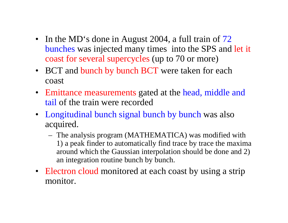- In the MD's done in August 2004, a full train of 72 bunches was injected many times into the SPS and let it coast for several supercycles (up to 70 or more)
- BCT and bunch by bunch BCT were taken for each coast
- Emittance measurements gated at the head, middle and tail of the train were recorded
- Longitudinal bunch signal bunch by bunch was also acquired.
	- The analysis program (MATHEMATICA) was modified with 1) a peak finder to automatically find trace by trace the maxima around which the Gaussian interpolation should be done and 2) an integration routine bunch by bunch.
- Electron cloud monitored at each coast by using a strip monitor.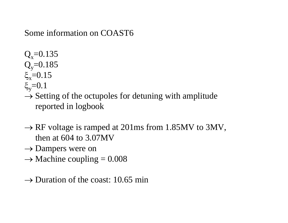## Some information on COAST6

 $Q_x = 0.135$  $Q_v = 0.185$ ξ<sub>x</sub>=0.15 ξ<sub>y</sub>=0.1

- $\rightarrow$  Setting of the octupoles for detuning with amplitude reported in logbook
- $\rightarrow$  RF voltage is ramped at 201ms from 1.85MV to 3MV, then at 604 to 3.07MV
- $\rightarrow$  Dampers were on
- $\rightarrow$  Machine coupling = 0.008
- $\rightarrow$  Duration of the coast: 10.65 min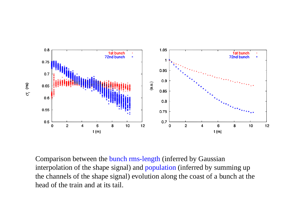

Comparison between the bunch rms-length (inferred by Gaussian interpolation of the shape signal) and population (inferred by summing up the channels of the shape signal) evolution along the coast of a bunch at the head of the train and at its tail.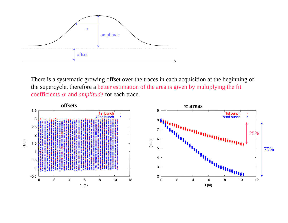

There is a systematic growing offset over the traces in each acquisition at the beginning of the supercycle, therefore a better estimation of the area is given by multiplying the fit coefficients σ and *amplitude* for each trace.

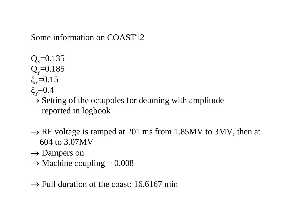Some information on COAST12

 $Q_x = 0.135$  $Q_v = 0.185$ ξ<sub>x</sub>=0.15

ξ<sub>y</sub>= $0.4$ 

 $\rightarrow$  Setting of the octupoles for detuning with amplitude reported in logbook

- $\rightarrow$  RF voltage is ramped at 201 ms from 1.85MV to 3MV, then at 604 to 3.07MV
- $\rightarrow$  Dampers on
- $\rightarrow$  Machine coupling = 0.008

 $\rightarrow$  Full duration of the coast: 16.6167 min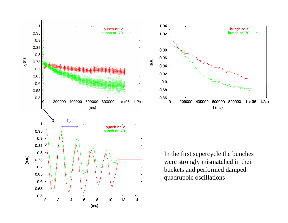